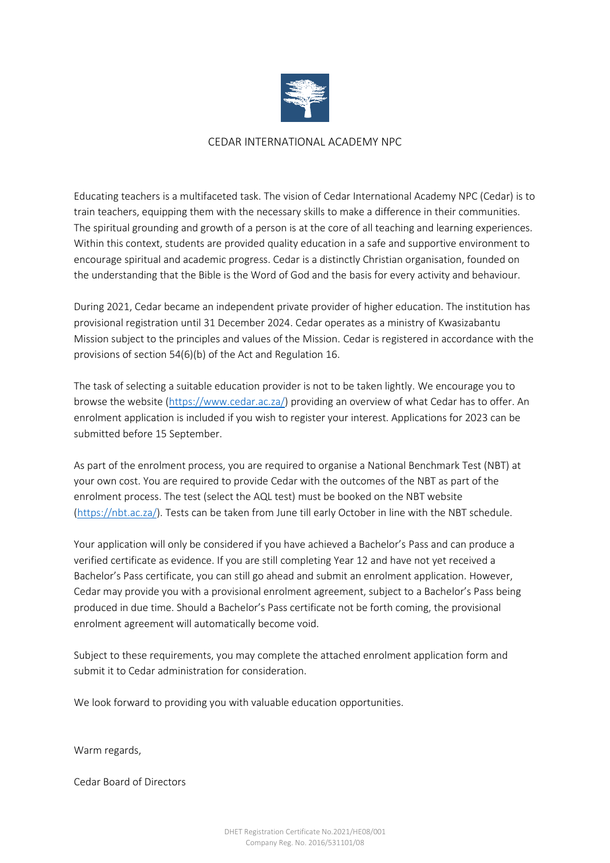

#### CEDAR INTERNATIONAL ACADEMY NPC

Educating teachers is a multifaceted task. The vision of Cedar International Academy NPC (Cedar) is to train teachers, equipping them with the necessary skills to make a difference in their communities. The spiritual grounding and growth of a person is at the core of all teaching and learning experiences. Within this context, students are provided quality education in a safe and supportive environment to encourage spiritual and academic progress. Cedar is a distinctly Christian organisation, founded on the understanding that the Bible is the Word of God and the basis for every activity and behaviour.

During 2021, Cedar became an independent private provider of higher education. The institution has provisional registration until 31 December 2024. Cedar operates as a ministry of Kwasizabantu Mission subject to the principles and values of the Mission. Cedar is registered in accordance with the provisions of section 54(6)(b) of the Act and Regulation 16.

The task of selecting a suitable education provider is not to be taken lightly. We encourage you to browse the website [\(https://www.cedar.ac.za/\)](https://www.cedar.ac.za/) providing an overview of what Cedar has to offer. An enrolment application is included if you wish to register your interest. Applications for 2023 can be submitted before 15 September.

As part of the enrolment process, you are required to organise a National Benchmark Test (NBT) at your own cost. You are required to provide Cedar with the outcomes of the NBT as part of the enrolment process. The test (select the AQL test) must be booked on the NBT website [\(https://nbt.ac.za/\)](https://nbt.ac.za/). Tests can be taken from June till early October in line with the NBT schedule.

Your application will only be considered if you have achieved a Bachelor's Pass and can produce a verified certificate as evidence. If you are still completing Year 12 and have not yet received a Bachelor's Pass certificate, you can still go ahead and submit an enrolment application. However, Cedar may provide you with a provisional enrolment agreement, subject to a Bachelor's Pass being produced in due time. Should a Bachelor's Pass certificate not be forth coming, the provisional enrolment agreement will automatically become void.

Subject to these requirements, you may complete the attached enrolment application form and submit it to Cedar administration for consideration.

We look forward to providing you with valuable education opportunities.

Warm regards,

Cedar Board of Directors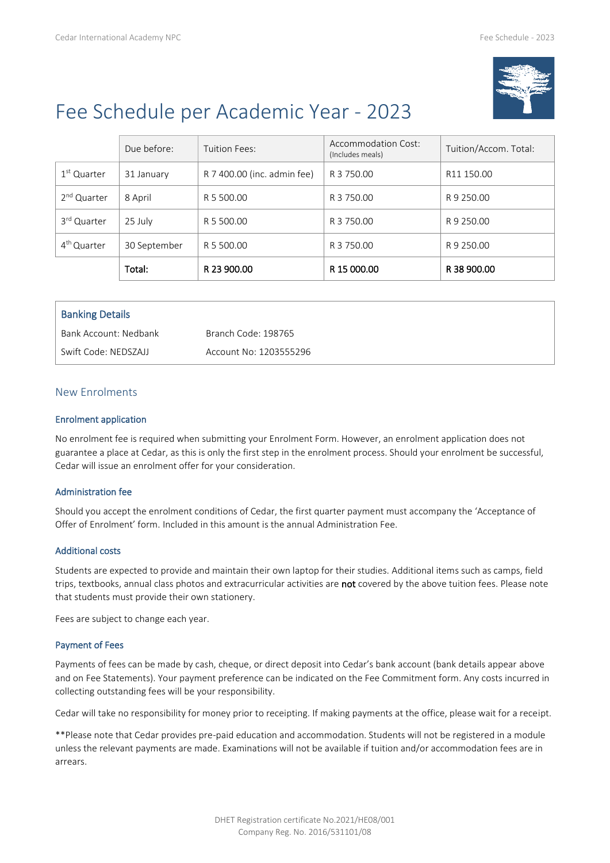

# Fee Schedule per Academic Year - 2023

|                         | Due before:  | Tuition Fees:               | Accommodation Cost:<br>(Includes meals) | Tuition/Accom. Total: |
|-------------------------|--------------|-----------------------------|-----------------------------------------|-----------------------|
| 1 <sup>st</sup> Quarter | 31 January   | R 7 400.00 (inc. admin fee) | R 3 750.00                              | R11 150.00            |
| 2 <sup>nd</sup> Quarter | 8 April      | R 5 500.00                  | R 3 750.00                              | R 9 250.00            |
| 3 <sup>rd</sup> Quarter | 25 July      | R 5 500.00                  | R 3 750.00                              | R 9 250.00            |
| 4 <sup>th</sup> Quarter | 30 September | R 5 500.00                  | R 3 750.00                              | R 9 250.00            |
|                         | Total:       | R 23 900.00                 | R 15 000.00                             | R 38 900.00           |

| <b>Banking Details</b> |                        |
|------------------------|------------------------|
| Bank Account: Nedbank  | Branch Code: 198765    |
| Swift Code: NEDSZAJJ   | Account No: 1203555296 |

#### New Enrolments

#### Enrolment application

No enrolment fee is required when submitting your Enrolment Form. However, an enrolment application does not guarantee a place at Cedar, as this is only the first step in the enrolment process. Should your enrolment be successful, Cedar will issue an enrolment offer for your consideration.

#### Administration fee

Should you accept the enrolment conditions of Cedar, the first quarter payment must accompany the 'Acceptance of Offer of Enrolment' form. Included in this amount is the annual Administration Fee.

#### Additional costs

Students are expected to provide and maintain their own laptop for their studies. Additional items such as camps, field trips, textbooks, annual class photos and extracurricular activities are not covered by the above tuition fees. Please note that students must provide their own stationery.

Fees are subject to change each year.

#### Payment of Fees

Payments of fees can be made by cash, cheque, or direct deposit into Cedar's bank account (bank details appear above and on Fee Statements). Your payment preference can be indicated on the Fee Commitment form. Any costs incurred in collecting outstanding fees will be your responsibility.

Cedar will take no responsibility for money prior to receipting. If making payments at the office, please wait for a receipt.

\*\*Please note that Cedar provides pre-paid education and accommodation. Students will not be registered in a module unless the relevant payments are made. Examinations will not be available if tuition and/or accommodation fees are in arrears.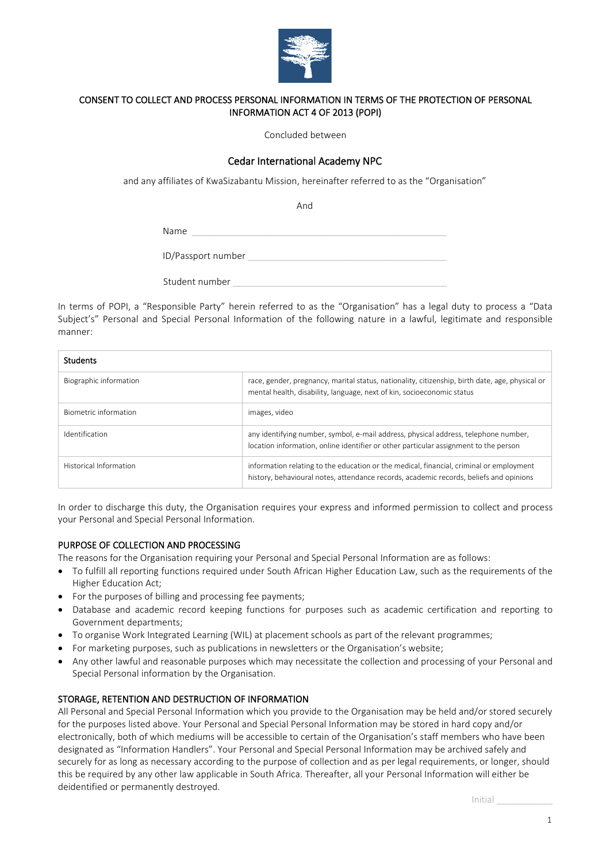

#### CONSENT TO COLLECT AND PROCESS PERSONAL INFORMATION IN TERMS OF THE PROTECTION OF PERSONAL INFORMATION ACT 4 OF 2013 (POPI)

Concluded between

#### Cedar International Academy NPC

and any affiliates of KwaSizabantu Mission, hereinafter referred to as the "Organisation"

And

Name

ID/Passport number **and the set of the set of the set of the set of the set of the set of the set of the set of the set of the set of the set of the set of the set of the set of the set of the set of the set of the set of** 

| Student number |
|----------------|
|----------------|

In terms of POPI, a "Responsible Party" herein referred to as the "Organisation" has a legal duty to process a "Data Subject's" Personal and Special Personal Information of the following nature in a lawful, legitimate and responsible manner:

| <b>Students</b>        |                                                                                                                                                                                   |
|------------------------|-----------------------------------------------------------------------------------------------------------------------------------------------------------------------------------|
| Biographic information | race, gender, pregnancy, marital status, nationality, citizenship, birth date, age, physical or<br>mental health, disability, language, next of kin, socioeconomic status         |
| Biometric information  | images, video                                                                                                                                                                     |
| Identification         | any identifying number, symbol, e-mail address, physical address, telephone number,<br>location information, online identifier or other particular assignment to the person       |
| Historical Information | information relating to the education or the medical, financial, criminal or employment<br>history, behavioural notes, attendance records, academic records, beliefs and opinions |

In order to discharge this duty, the Organisation requires your express and informed permission to collect and process your Personal and Special Personal Information.

#### PURPOSE OF COLLECTION AND PROCESSING

The reasons for the Organisation requiring your Personal and Special Personal Information are as follows:

- To fulfill all reporting functions required under South African Higher Education Law, such as the requirements of the Higher Education Act;
- For the purposes of billing and processing fee payments;
- Database and academic record keeping functions for purposes such as academic certification and reporting to Government departments;
- To organise Work Integrated Learning (WIL) at placement schools as part of the relevant programmes;
- For marketing purposes, such as publications in newsletters or the Organisation's website;
- Any other lawful and reasonable purposes which may necessitate the collection and processing of your Personal and Special Personal information by the Organisation.

#### STORAGE, RETENTION AND DESTRUCTION OF INFORMATION

All Personal and Special Personal Information which you provide to the Organisation may be held and/or stored securely for the purposes listed above. Your Personal and Special Personal Information may be stored in hard copy and/or electronically, both of which mediums will be accessible to certain of the Organisation's staff members who have been designated as "Information Handlers". Your Personal and Special Personal Information may be archived safely and securely for as long as necessary according to the purpose of collection and as per legal requirements, or longer, should this be required by any other law applicable in South Africa. Thereafter, all your Personal Information will either be deidentified or permanently destroyed.

Initial \_\_\_\_\_\_\_\_\_\_\_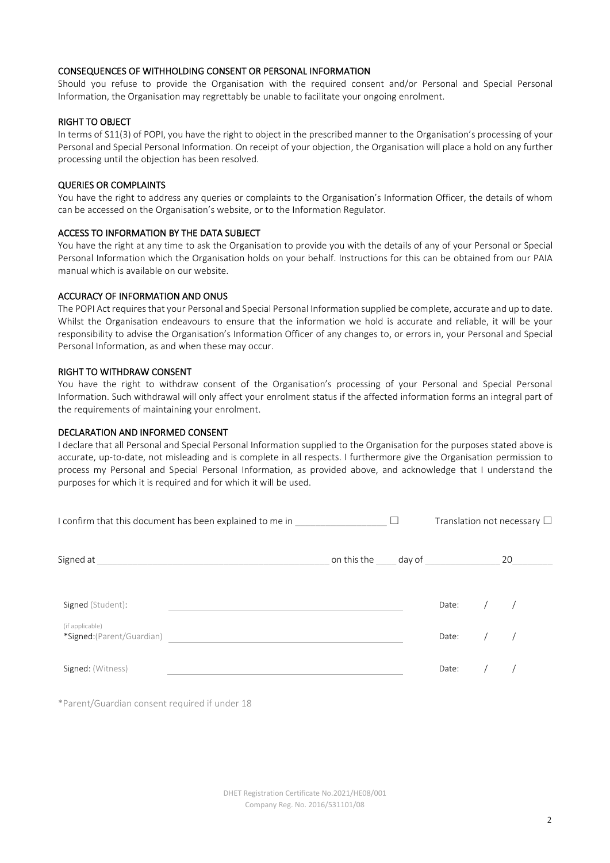#### CONSEQUENCES OF WITHHOLDING CONSENT OR PERSONAL INFORMATION

Should you refuse to provide the Organisation with the required consent and/or Personal and Special Personal Information, the Organisation may regrettably be unable to facilitate your ongoing enrolment.

#### RIGHT TO OBJECT

In terms of S11(3) of POPI, you have the right to object in the prescribed manner to the Organisation's processing of your Personal and Special Personal Information. On receipt of your objection, the Organisation will place a hold on any further processing until the objection has been resolved.

#### QUERIES OR COMPLAINTS

You have the right to address any queries or complaints to the Organisation's Information Officer, the details of whom can be accessed on the Organisation's website, or to the Information Regulator.

#### ACCESS TO INFORMATION BY THE DATA SUBJECT

You have the right at any time to ask the Organisation to provide you with the details of any of your Personal or Special Personal Information which the Organisation holds on your behalf. Instructions for this can be obtained from our PAIA manual which is available on our website.

#### ACCURACY OF INFORMATION AND ONUS

The POPI Act requires that your Personal and Special Personal Information supplied be complete, accurate and up to date. Whilst the Organisation endeavours to ensure that the information we hold is accurate and reliable, it will be your responsibility to advise the Organisation's Information Officer of any changes to, or errors in, your Personal and Special Personal Information, as and when these may occur.

#### RIGHT TO WITHDRAW CONSENT

You have the right to withdraw consent of the Organisation's processing of your Personal and Special Personal Information. Such withdrawal will only affect your enrolment status if the affected information forms an integral part of the requirements of maintaining your enrolment.

#### DECLARATION AND INFORMED CONSENT

I declare that all Personal and Special Personal Information supplied to the Organisation for the purposes stated above is accurate, up-to-date, not misleading and is complete in all respects. I furthermore give the Organisation permission to process my Personal and Special Personal Information, as provided above, and acknowledge that I understand the purposes for which it is required and for which it will be used.

| I confirm that this document has been explained to me in |                    |  | Translation not necessary $\Box$ |  |    |  |
|----------------------------------------------------------|--------------------|--|----------------------------------|--|----|--|
| Signed at                                                | on this the day of |  |                                  |  | 20 |  |
| Signed (Student):                                        |                    |  | Date:                            |  |    |  |
| (if applicable)<br>*Signed: (Parent/Guardian)            |                    |  | Date:                            |  |    |  |
| Signed: (Witness)                                        |                    |  | Date:                            |  |    |  |

\*Parent/Guardian consent required if under 18

DHET Registration Certificate No.2021/HE08/001 Company Reg. No. 2016/531101/08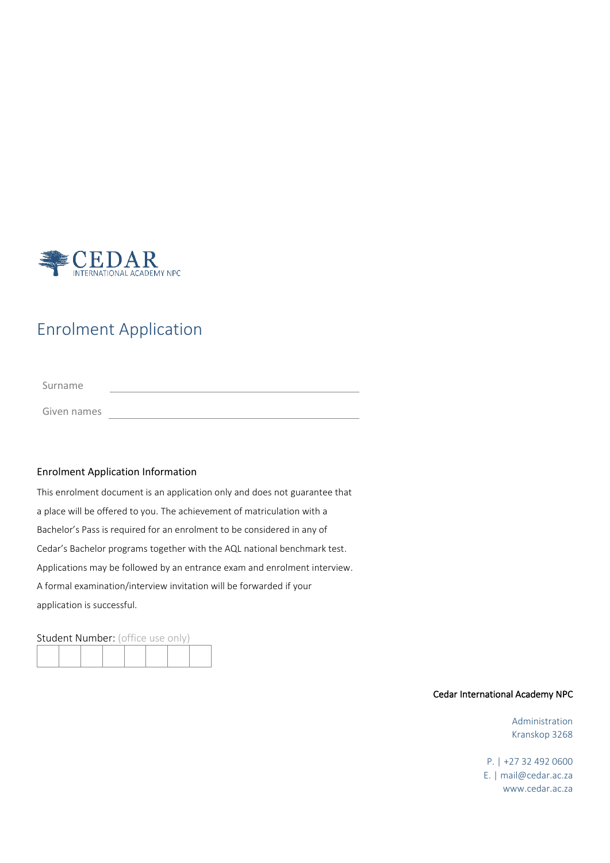

## Enrolment Application

Surname

Given names **Communist Communist Communist Communist Communist Communist Communist Communist Communist Communist Communist Communist Communist Communist Communist Communist Communist Communist Communist Communist Communist** 

#### Enrolment Application Information

This enrolment document is an application only and does not guarantee that a place will be offered to you. The achievement of matriculation with a Bachelor's Pass is required for an enrolment to be considered in any of Cedar's Bachelor programs together with the AQL national benchmark test. Applications may be followed by an entrance exam and enrolment interview. A formal examination/interview invitation will be forwarded if your application is successful.

Student Number: (office use only)

#### Cedar International Academy NPC

Administration Kranskop 3268

P. | +27 32 492 0600 E. | mail@cedar.ac.za www.cedar.ac.za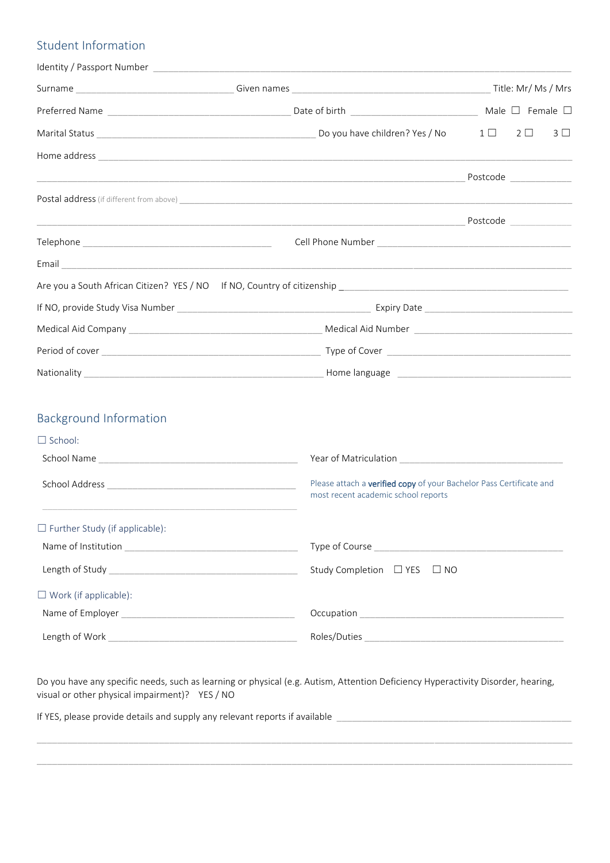## Student Information

| Identity / Passport Number Law Processor and Contract Contract Contract Contract Contract Contract Contract Co |                                                                                                            |                                                                                                                                                                                                                                 |            |                |  |  |
|----------------------------------------------------------------------------------------------------------------|------------------------------------------------------------------------------------------------------------|---------------------------------------------------------------------------------------------------------------------------------------------------------------------------------------------------------------------------------|------------|----------------|--|--|
|                                                                                                                |                                                                                                            |                                                                                                                                                                                                                                 |            |                |  |  |
|                                                                                                                |                                                                                                            |                                                                                                                                                                                                                                 |            |                |  |  |
|                                                                                                                |                                                                                                            | $1 \Box$                                                                                                                                                                                                                        | $2\square$ | 3 <sub>1</sub> |  |  |
|                                                                                                                |                                                                                                            |                                                                                                                                                                                                                                 |            |                |  |  |
|                                                                                                                |                                                                                                            | Postcode and the state of the state of the state of the state of the state of the state of the state of the state of the state of the state of the state of the state of the state of the state of the state of the state of th |            |                |  |  |
|                                                                                                                |                                                                                                            |                                                                                                                                                                                                                                 |            |                |  |  |
|                                                                                                                |                                                                                                            |                                                                                                                                                                                                                                 |            |                |  |  |
|                                                                                                                |                                                                                                            |                                                                                                                                                                                                                                 |            |                |  |  |
|                                                                                                                |                                                                                                            |                                                                                                                                                                                                                                 |            |                |  |  |
|                                                                                                                |                                                                                                            |                                                                                                                                                                                                                                 |            |                |  |  |
|                                                                                                                |                                                                                                            |                                                                                                                                                                                                                                 |            |                |  |  |
|                                                                                                                |                                                                                                            |                                                                                                                                                                                                                                 |            |                |  |  |
|                                                                                                                |                                                                                                            |                                                                                                                                                                                                                                 |            |                |  |  |
|                                                                                                                |                                                                                                            |                                                                                                                                                                                                                                 |            |                |  |  |
| <b>Background Information</b>                                                                                  |                                                                                                            |                                                                                                                                                                                                                                 |            |                |  |  |
| $\Box$ School:                                                                                                 |                                                                                                            |                                                                                                                                                                                                                                 |            |                |  |  |
|                                                                                                                |                                                                                                            | Year of Matriculation Matriculation Matrix and Matriculation                                                                                                                                                                    |            |                |  |  |
|                                                                                                                | Please attach a verified copy of your Bachelor Pass Certificate and<br>most recent academic school reports |                                                                                                                                                                                                                                 |            |                |  |  |
| $\Box$ Further Study (if applicable):                                                                          |                                                                                                            |                                                                                                                                                                                                                                 |            |                |  |  |
|                                                                                                                |                                                                                                            |                                                                                                                                                                                                                                 |            |                |  |  |
|                                                                                                                | Study Completion □ YES □ NO                                                                                |                                                                                                                                                                                                                                 |            |                |  |  |
| $\Box$ Work (if applicable):                                                                                   |                                                                                                            |                                                                                                                                                                                                                                 |            |                |  |  |
|                                                                                                                |                                                                                                            |                                                                                                                                                                                                                                 |            |                |  |  |
|                                                                                                                |                                                                                                            |                                                                                                                                                                                                                                 |            |                |  |  |

Do you have any specific needs, such as learning or physical (e.g. Autism, Attention Deficiency Hyperactivity Disorder, hearing, visual or other physical impairment)? YES / NO

\_\_\_\_\_\_\_\_\_\_\_\_\_\_\_\_\_\_\_\_\_\_\_\_\_\_\_\_\_\_\_\_\_\_\_\_\_\_\_\_\_\_\_\_\_\_\_\_\_\_\_\_\_\_\_\_\_\_\_\_\_\_\_\_\_\_\_\_\_\_\_\_\_\_\_\_\_\_\_\_\_\_\_\_\_\_\_\_\_\_\_\_\_\_\_\_\_\_\_\_\_\_\_\_\_

\_\_\_\_\_\_\_\_\_\_\_\_\_\_\_\_\_\_\_\_\_\_\_\_\_\_\_\_\_\_\_\_\_\_\_\_\_\_\_\_\_\_\_\_\_\_\_\_\_\_\_\_\_\_\_\_\_\_\_\_\_\_\_\_\_\_\_\_\_\_\_\_\_\_\_\_\_\_\_\_\_\_\_\_\_\_\_\_\_\_\_\_\_\_\_\_\_\_\_\_\_\_\_\_\_

If YES, please provide details and supply any relevant reports if available \_\_\_\_\_\_\_\_\_\_\_\_\_\_\_\_\_\_\_\_\_\_\_\_\_\_\_\_\_\_\_\_\_\_\_\_\_\_\_\_\_\_\_\_\_\_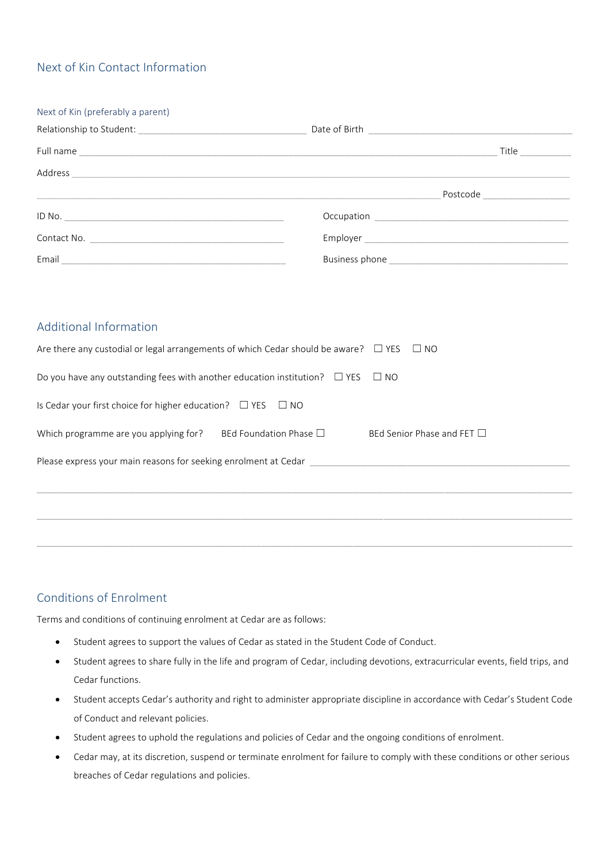## Next of Kin Contact Information

| Next of Kin (preferably a parent)                                                         |                                                                                                          |                                          |
|-------------------------------------------------------------------------------------------|----------------------------------------------------------------------------------------------------------|------------------------------------------|
|                                                                                           |                                                                                                          |                                          |
|                                                                                           |                                                                                                          | $\begin{tabular}{c} Title \end{tabular}$ |
|                                                                                           |                                                                                                          |                                          |
|                                                                                           |                                                                                                          | Postcode ____________________            |
|                                                                                           |                                                                                                          |                                          |
|                                                                                           |                                                                                                          |                                          |
|                                                                                           |                                                                                                          |                                          |
|                                                                                           |                                                                                                          |                                          |
|                                                                                           |                                                                                                          |                                          |
| <b>Additional Information</b>                                                             |                                                                                                          |                                          |
|                                                                                           | Are there any custodial or legal arrangements of which Cedar should be aware? $\square$ YES $\square$ NO |                                          |
| Do you have any outstanding fees with another education institution? $\Box$ YES $\Box$ NO |                                                                                                          |                                          |
| Is Cedar your first choice for higher education? $\Box$ YES $\Box$ NO                     |                                                                                                          |                                          |

#### Conditions of Enrolment

Terms and conditions of continuing enrolment at Cedar are as follows:

Please express your main reasons for seeking enrolment at Cedar \_\_\_\_\_\_\_\_\_\_\_\_\_\_\_\_

• Student agrees to support the values of Cedar as stated in the Student Code of Conduct.

Which programme are you applying for? BEd Foundation Phase  $□$  BEd Senior Phase and FET  $□$ 

• Student agrees to share fully in the life and program of Cedar, including devotions, extracurricular events, field trips, and Cedar functions.

\_\_\_\_\_\_\_\_\_\_\_\_\_\_\_\_\_\_\_\_\_\_\_\_\_\_\_\_\_\_\_\_\_\_\_\_\_\_\_\_\_\_\_\_\_\_\_\_\_\_\_\_\_\_\_\_\_\_\_\_\_\_\_\_\_\_\_\_\_\_\_\_\_\_\_\_\_\_\_\_\_\_\_\_\_\_\_\_\_\_\_\_\_\_\_\_\_\_\_\_\_\_\_\_\_

\_\_\_\_\_\_\_\_\_\_\_\_\_\_\_\_\_\_\_\_\_\_\_\_\_\_\_\_\_\_\_\_\_\_\_\_\_\_\_\_\_\_\_\_\_\_\_\_\_\_\_\_\_\_\_\_\_\_\_\_\_\_\_\_\_\_\_\_\_\_\_\_\_\_\_\_\_\_\_\_\_\_\_\_\_\_\_\_\_\_\_\_\_\_\_\_\_\_\_\_\_\_\_\_\_

- Student accepts Cedar's authority and right to administer appropriate discipline in accordance with Cedar's Student Code of Conduct and relevant policies.
- Student agrees to uphold the regulations and policies of Cedar and the ongoing conditions of enrolment.
- Cedar may, at its discretion, suspend or terminate enrolment for failure to comply with these conditions or other serious breaches of Cedar regulations and policies.